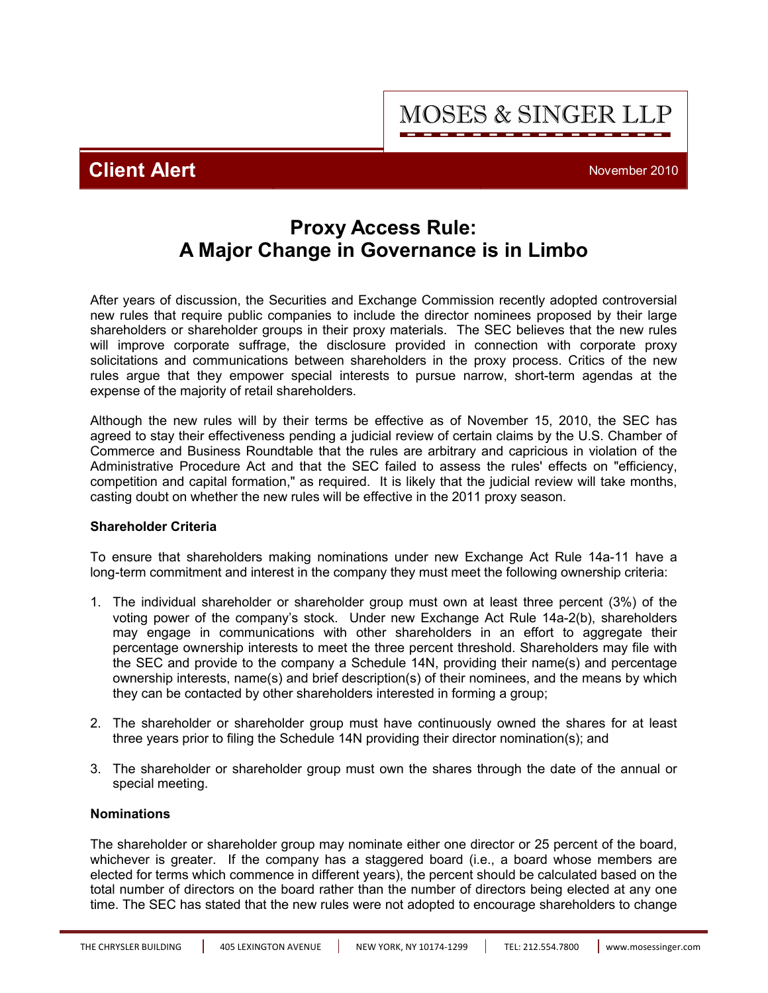**MOSES & SINGER LLP** 

**Client Alert** November 2010

# **Proxy Access Rule: A Major Change in Governance is in Limbo**

After years of discussion, the Securities and Exchange Commission recently adopted controversial new rules that require public companies to include the director nominees proposed by their large shareholders or shareholder groups in their proxy materials. The SEC believes that the new rules will improve corporate suffrage, the disclosure provided in connection with corporate proxy solicitations and communications between shareholders in the proxy process. Critics of the new rules argue that they empower special interests to pursue narrow, short-term agendas at the expense of the majority of retail shareholders.

Although the new rules will by their terms be effective as of November 15, 2010, the SEC has agreed to stay their effectiveness pending a judicial review of certain claims by the U.S. Chamber of Commerce and Business Roundtable that the rules are arbitrary and capricious in violation of the Administrative Procedure Act and that the SEC failed to assess the rules' effects on "efficiency, competition and capital formation," as required. It is likely that the judicial review will take months, casting doubt on whether the new rules will be effective in the 2011 proxy season.

## **Shareholder Criteria**

To ensure that shareholders making nominations under new Exchange Act Rule 14a-11 have a long-term commitment and interest in the company they must meet the following ownership criteria:

- 1. The individual shareholder or shareholder group must own at least three percent (3%) of the voting power of the company's stock. Under new Exchange Act Rule 14a-2(b), shareholders may engage in communications with other shareholders in an effort to aggregate their percentage ownership interests to meet the three percent threshold. Shareholders may file with the SEC and provide to the company a Schedule 14N, providing their name(s) and percentage ownership interests, name(s) and brief description(s) of their nominees, and the means by which they can be contacted by other shareholders interested in forming a group;
- 2. The shareholder or shareholder group must have continuously owned the shares for at least three years prior to filing the Schedule 14N providing their director nomination(s); and
- 3. The shareholder or shareholder group must own the shares through the date of the annual or special meeting.

### **Nominations**

The shareholder or shareholder group may nominate either one director or 25 percent of the board, whichever is greater. If the company has a staggered board (i.e., a board whose members are elected for terms which commence in different years), the percent should be calculated based on the total number of directors on the board rather than the number of directors being elected at any one time. The SEC has stated that the new rules were not adopted to encourage shareholders to change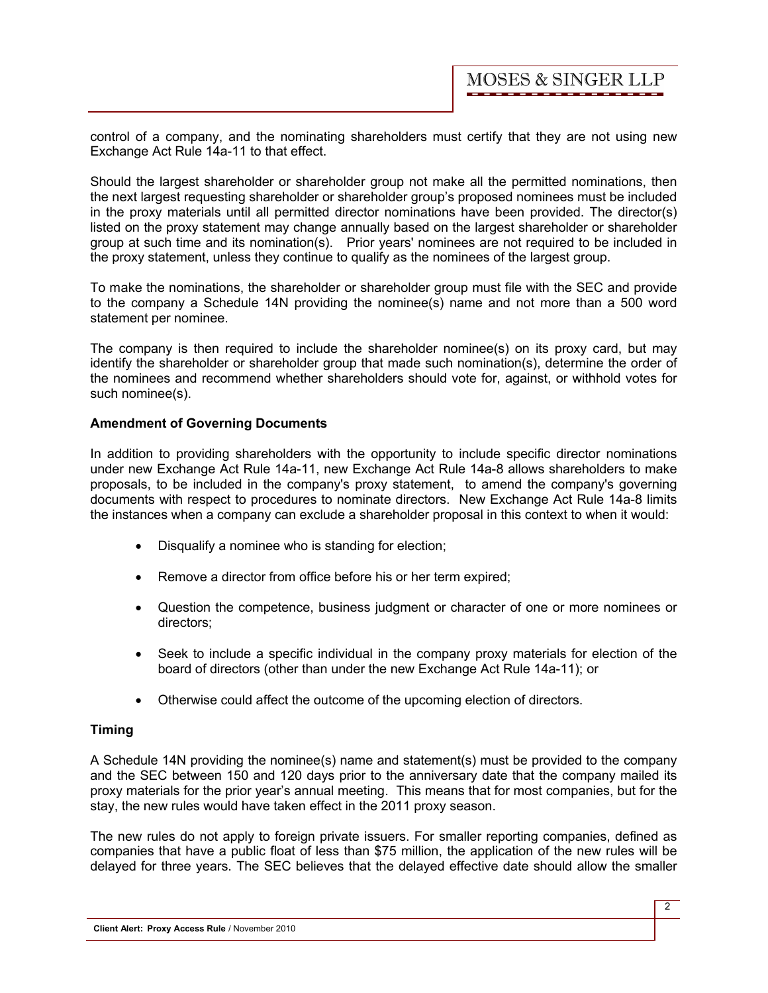control of a company, and the nominating shareholders must certify that they are not using new Exchange Act Rule 14a-11 to that effect.

Should the largest shareholder or shareholder group not make all the permitted nominations, then the next largest requesting shareholder or shareholder group's proposed nominees must be included in the proxy materials until all permitted director nominations have been provided. The director(s) listed on the proxy statement may change annually based on the largest shareholder or shareholder group at such time and its nomination(s). Prior years' nominees are not required to be included in the proxy statement, unless they continue to qualify as the nominees of the largest group.

To make the nominations, the shareholder or shareholder group must file with the SEC and provide to the company a Schedule 14N providing the nominee(s) name and not more than a 500 word statement per nominee.

The company is then required to include the shareholder nominee(s) on its proxy card, but may identify the shareholder or shareholder group that made such nomination(s), determine the order of the nominees and recommend whether shareholders should vote for, against, or withhold votes for such nominee(s).

#### **Amendment of Governing Documents**

In addition to providing shareholders with the opportunity to include specific director nominations under new Exchange Act Rule 14a-11, new Exchange Act Rule 14a-8 allows shareholders to make proposals, to be included in the company's proxy statement, to amend the company's governing documents with respect to procedures to nominate directors. New Exchange Act Rule 14a-8 limits the instances when a company can exclude a shareholder proposal in this context to when it would:

- · Disqualify a nominee who is standing for election;
- · Remove a director from office before his or her term expired;
- · Question the competence, business judgment or character of one or more nominees or directors;
- · Seek to include a specific individual in the company proxy materials for election of the board of directors (other than under the new Exchange Act Rule 14a-11); or
- · Otherwise could affect the outcome of the upcoming election of directors.

#### **Timing**

A Schedule 14N providing the nominee(s) name and statement(s) must be provided to the company and the SEC between 150 and 120 days prior to the anniversary date that the company mailed its proxy materials for the prior year's annual meeting. This means that for most companies, but for the stay, the new rules would have taken effect in the 2011 proxy season.

The new rules do not apply to foreign private issuers. For smaller reporting companies, defined as companies that have a public float of less than \$75 million, the application of the new rules will be delayed for three years. The SEC believes that the delayed effective date should allow the smaller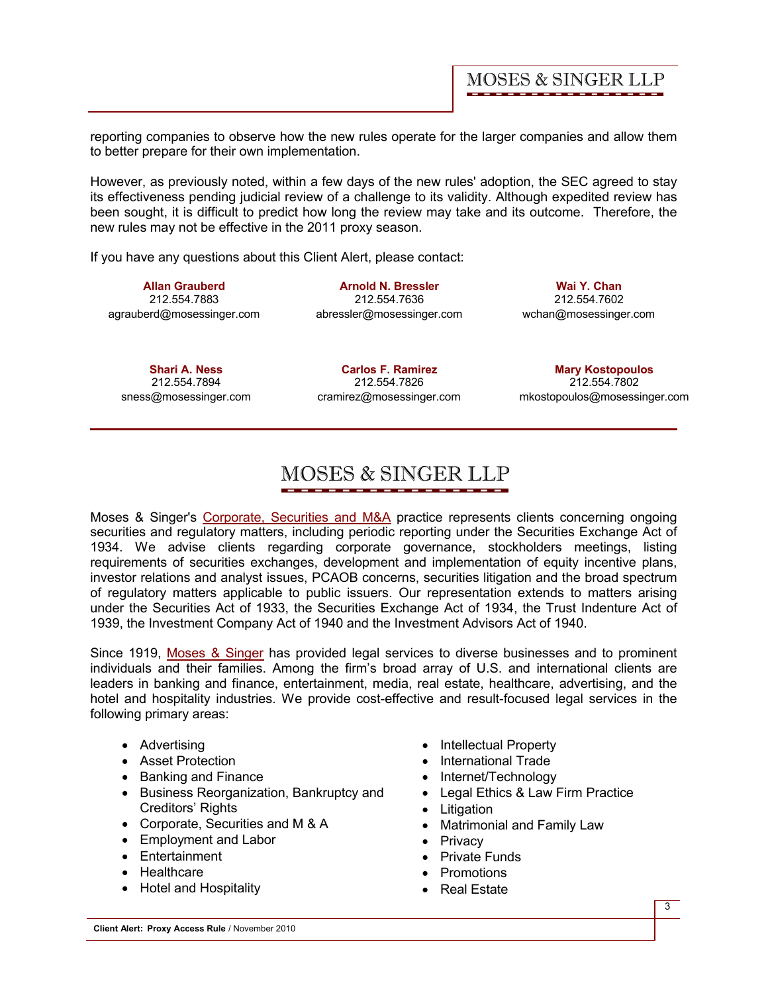reporting companies to observe how the new rules operate for the larger companies and allow them to better prepare for their own implementation.

However, as previously noted, within a few days of the new rules' adoption, the SEC agreed to stay its effectiveness pending judicial review of a challenge to its validity. Although expedited review has been sought, it is difficult to predict how long the review may take and its outcome. Therefore, the new rules may not be effective in the 2011 proxy season.

If you have any questions about this Client Alert, please contact:

**[Allan Grauberd](http://www.mosessinger.com/personnel/agrauberd/)** 212.554.7883 agrauberd@mosessinger.com

**[Arnold N. Bressler](http://www.mosessinger.com/personnel/abressler/)** 212.554.7636 abressler@mosessinger.com

**[Wai Y. Chan](http://www.mosessinger.com/personnel/wchan/)** 212.554.7602 wchan@mosessinger.com

**[Shari A. Ness](http://www.mosessinger.com/personnel/sness/)** 212.554.7894 sness@mosessinger.com

**[Carlos F. Ramirez](http://www.mosessinger.com/personnel/cramirez/)** 212.554.7826 cramirez@mosessinger.com

**[Mary Kostopoulos](http://www.mosessinger.com/personnel/mkostopoulos/)** 212.554.7802 mkostopoulos@mosessinger.com

# **MOSES & SINGER LLP**

Moses & Singer's [Corporate, Securities and M&A](http://www.mosessinger.com/CorporateSecuritiesandMandA/) practice represents clients concerning ongoing securities and regulatory matters, including periodic reporting under the Securities Exchange Act of 1934. We advise clients regarding corporate governance, stockholders meetings, listing requirements of securities exchanges, development and implementation of equity incentive plans, investor relations and analyst issues, PCAOB concerns, securities litigation and the broad spectrum of regulatory matters applicable to public issuers. Our representation extends to matters arising under the Securities Act of 1933, the Securities Exchange Act of 1934, the Trust Indenture Act of 1939, the Investment Company Act of 1940 and the Investment Advisors Act of 1940.

Since 1919, [Moses & Singer](http://www.mosessinger.com/index.php) has provided legal services to diverse businesses and to prominent individuals and their families. Among the firm's broad array of U.S. and international clients are leaders in banking and finance, entertainment, media, real estate, healthcare, advertising, and the hotel and hospitality industries. We provide cost-effective and result-focused legal services in the following primary areas:

- Advertising
- · Asset Protection
- · Banking and Finance
- · Business Reorganization, Bankruptcy and Creditors' Rights
- · Corporate, Securities and M & A
- · Employment and Labor
- · Entertainment
- · Healthcare
- · Hotel and Hospitality
- Intellectual Property
- · International Trade
- Internet/Technology
- · Legal Ethics & Law Firm Practice
- · Litigation
- · Matrimonial and Family Law
- · Privacy
- · Private Funds
- · Promotions
- · Real Estate